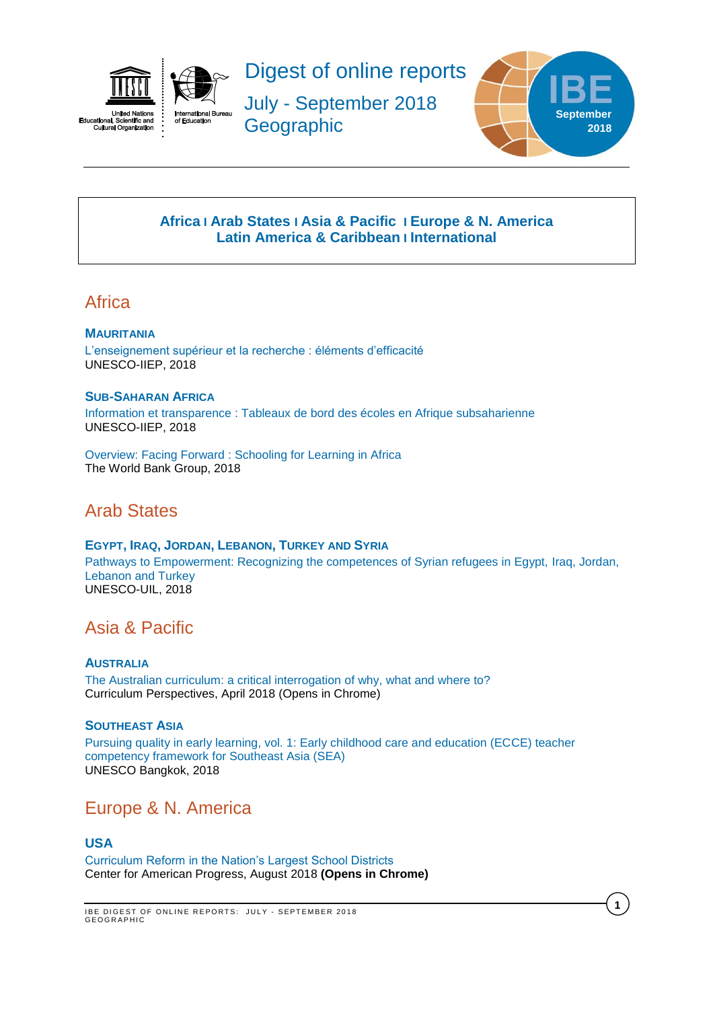

Digest of online reports

July - September 2018 **Geographic** 



**1**

# **[Africa](#page-0-0) I [Arab States](#page-0-1) I [Asia & Pacific](#page-0-2) I [Europe & N. America](#page-0-3) [Latin America](#page-1-0) & Caribbean I [International](#page-1-1)**

# <span id="page-0-0"></span>**Africa**

## **MAURITANIA**

[L'enseignement supérieur et la recherche : éléments d'efficacité](http://unesdoc.unesco.org/images/0026/002654/265448f.pdf) UNESCO-IIEP, 2018

### **SUB-SAHARAN AFRICA**

[Information et transparence : Tableaux de bord des écoles en Afrique subsaharienne](http://unesdoc.unesco.org/images/0026/002617/261740f.pdf) UNESCO-IIEP, 2018

Overview: Facing Forward [: Schooling for Learning in Africa](https://openknowledge.worldbank.org/bitstream/handle/10986/29377/211260ov.pdf?sequence=6&isAllowed=y) The World Bank Group, 2018

# <span id="page-0-1"></span>Arab States

## **EGYPT, IRAQ, JORDAN, LEBANON, TURKEY AND SYRIA**

[Pathways to Empowerment: Recognizing the competences of Syrian refugees in Egypt, Iraq, Jordan,](http://unesdoc.unesco.org/images/0026/002629/262918e.pdf)  [Lebanon and Turkey](http://unesdoc.unesco.org/images/0026/002629/262918e.pdf) UNESCO-UIL, 2018

# <span id="page-0-2"></span>Asia & Pacific

## **AUSTRALI[A](https://link.springer.com/article/10.1007/s41297-017-0033-7)**

[The Australian curriculum: a critical interrogation of why, what and where to?](https://link.springer.com/article/10.1007/s41297-017-0033-7) Curriculum Perspectives, April 2018 (Opens in Chrome)

## **SOUTHEAST ASIA**

[Pursuing quality in early learning, vol. 1: Early childhood care and education \(ECCE\) teacher](http://unesdoc.unesco.org/images/0026/002652/265271e.pdf)  [competency framework for Southeast Asia \(SEA\)](http://unesdoc.unesco.org/images/0026/002652/265271e.pdf) UNESCO Bangkok, 2018

# <span id="page-0-3"></span>Europe & N. America

## **USA**

[Curriculum Reform in the Nation's Largest School Districts](https://www.americanprogress.org/issues/education-k-12/reports/2018/08/29/454705/curriculum-reform-nations-largest-school-districts/) Center for American Progress, August 2018 **(Opens in Chrome)**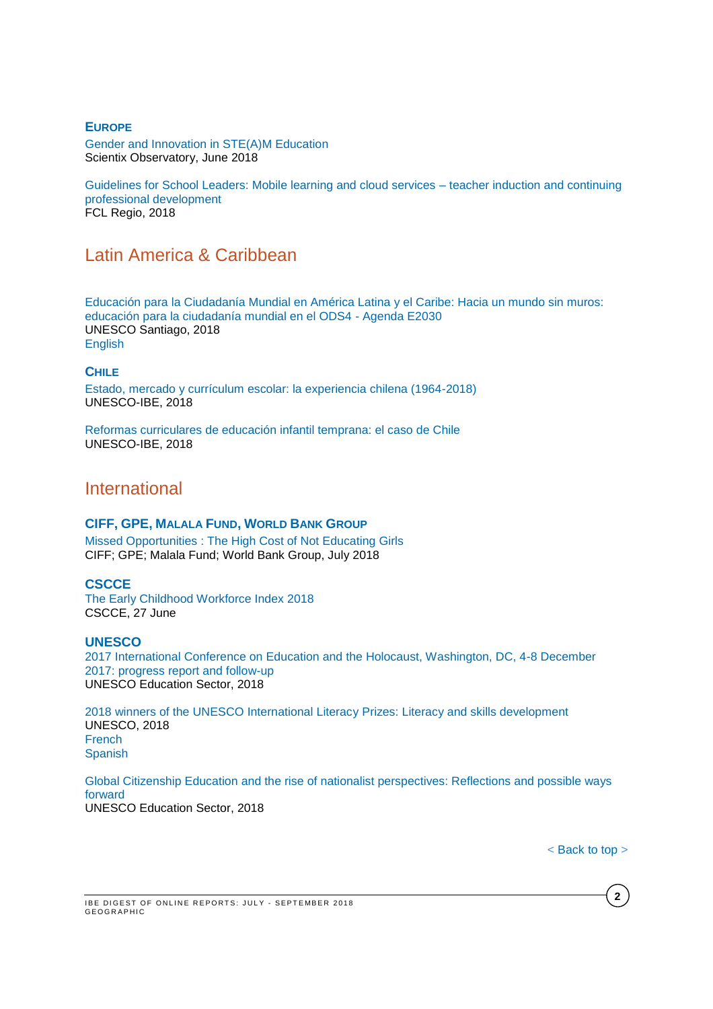### **EUROPE**

[Gender and Innovation in STE\(A\)M Education](http://www.scientix.eu/documents/10137/752677/Scientix-SPNE12-Gender-Innovation-STEAM_Final.pdf/e907b19e-0863-4502-a396-9ad6a5184be0) Scientix Observatory, June 2018

[Guidelines for School Leaders: Mobile learning and cloud services –](http://fcl.eun.org/documents/10180/985765/FCL+Regio_Guidelines_y2.pdf/54ffb2f3-1f66-4183-a62e-1bf2d42f6047) teacher induction and continuing [professional development](http://fcl.eun.org/documents/10180/985765/FCL+Regio_Guidelines_y2.pdf/54ffb2f3-1f66-4183-a62e-1bf2d42f6047) FCL Regio, 2018

# <span id="page-1-0"></span>Latin America & Caribbean

[Educación para la Ciudadanía Mundial en América Latina y el Caribe: Hacia un mundo sin muros:](http://unesdoc.unesco.org/images/0026/002655/265517s.pdf)  [educación para la ciudadanía mundial en el ODS4 -](http://unesdoc.unesco.org/images/0026/002655/265517s.pdf) Agenda E2030 UNESCO Santiago, 2018 [English](http://unesdoc.unesco.org/images/0026/002655/265517e.pdf)

#### **CHILE**

Estado, [mercado y currículum escolar: la experiencia chilena \(1964-2018\)](http://unesdoc.unesco.org/images/0026/002652/265296s.pdf) UNESCO-IBE, 2018

[Reformas curriculares de educación infantil temprana: el caso de Chile](http://unesdoc.unesco.org/images/0026/002652/265297S.pdf) UNESCO-IBE, 2018

# <span id="page-1-1"></span>International

#### **CIFF, GPE, MALALA FUND, WORLD BANK GROUP**

[Missed Opportunities : The High Cost of Not Educating Girls](https://reliefweb.int/sites/reliefweb.int/files/resources/HighCostOfNotEducatingGirls.pdf) CIFF; GPE; Malala Fund; World Bank Group, July 2018

### **CSCCE**

[The Early Childhood Workforce Index 2018](http://cscce.berkeley.edu/early-childhood-workforce-2018-index/) CSCCE, 27 June

#### **UNESCO**

[2017 International Conference on Education and the Holocaust, Washington, DC, 4-8 December](http://unesdoc.unesco.org/images/0026/002651/265199e.pdf)  [2017: progress report and follow-up](http://unesdoc.unesco.org/images/0026/002651/265199e.pdf) UNESCO Education Sector, 2018

[2018 winners of the UNESCO International Literacy Prizes: Literacy and skills development](http://unesdoc.unesco.org/images/0026/002655/265571e.pdf) UNESCO, 2018 [French](http://unesdoc.unesco.org/images/0026/002655/265571f.pdf) **[Spanish](http://unesdoc.unesco.org/images/0026/002655/265571s.pdf)** 

[Global Citizenship Education and the rise of nationalist perspectives: Reflections and possible ways](http://unesdoc.unesco.org/images/0026/002654/265414e.pdf)  [forward](http://unesdoc.unesco.org/images/0026/002654/265414e.pdf) UNESCO Education Sector, 2018

< [Back](#page-0-0) to top >

**2**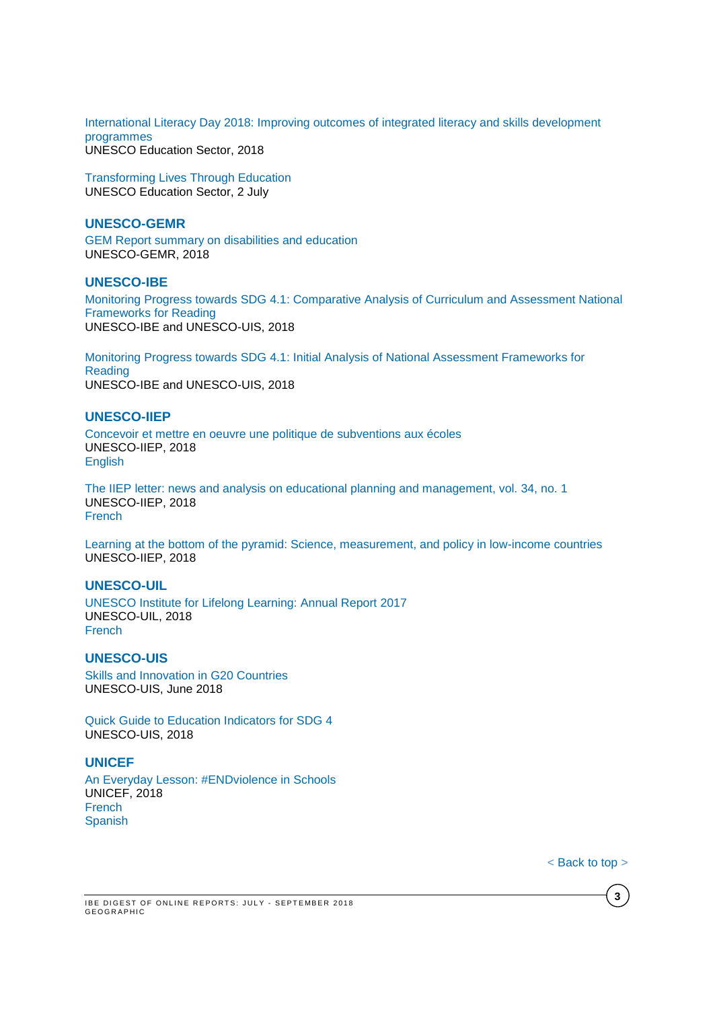[International Literacy Day 2018: Improving outcomes of integrated literacy and skills development](http://unesdoc.unesco.org/images/0026/002655/265586e.pdf)  [programmes](http://unesdoc.unesco.org/images/0026/002655/265586e.pdf) UNESCO Education Sector, 2018

[Transforming Lives Through Education](http://unesdoc.unesco.org/images/0026/002640/264088m.pdf) UNESCO Education Sector, 2 July

### **UNESCO-GEMR**

[GEM Report summary on disabilities and education](http://unesdoc.unesco.org/images/0026/002653/265353e.pdf) UNESCO-GEMR, 2018

## **UNESCO-IBE**

[Monitoring Progress towards SDG 4.1: Comparative Analysis of Curriculum and Assessment National](http://unesdoc.unesco.org/images/0026/002656/265622e.pdf)  [Frameworks for Reading](http://unesdoc.unesco.org/images/0026/002656/265622e.pdf) UNESCO-IBE and UNESCO-UIS, 2018

[Monitoring Progress towards SDG 4.1: Initial Analysis of National Assessment Frameworks for](http://unesdoc.unesco.org/images/0026/002656/265621e.pdf)  [Reading](http://unesdoc.unesco.org/images/0026/002656/265621e.pdf) UNESCO-IBE and UNESCO-UIS, 2018

## **UNESCO-IIEP**

[Concevoir et mettre en oeuvre une politique de subventions aux écoles](http://unesdoc.unesco.org/images/0026/002651/265168f.pdf) UNESCO-IIEP, 2018 [English](http://unesdoc.unesco.org/images/0026/002651/265168e.pdf)

[The IIEP letter: news and analysis on educational planning and management, vol. 34, no. 1](http://unesdoc.unesco.org/images/0026/002651/265179e.pdf) UNESCO-IIEP, 2018 [French](http://unesdoc.unesco.org/images/0026/002651/265179f.pdf)

Learning [at the bottom of the pyramid: Science, measurement, and policy in low-income countries](http://unesdoc.unesco.org/images/0026/002655/265581E.pdf) UNESCO-IIEP, 2018

## **UNESCO-UIL**

[UNESCO Institute for Lifelong Learning: Annual Report 2017](http://unesdoc.unesco.org/images/0026/002651/265173e.pdf) UNESCO-UIL, 2018 [French](http://unesdoc.unesco.org/images/0026/002651/265173F.pdf)

## **UNESCO-UIS**

[Skills and Innovation in G20 Countries](http://unesdoc.unesco.org/images/0026/002655/265503e.pdf) UNESCO-UIS, June 2018

[Quick Guide to Education Indicators for SDG 4](http://uis.unesco.org/sites/default/files/documents/quick-guide-education-indicators-sdg4-2018-en.pdf) UNESCO-UIS, 2018

#### **UNICEF**

[An Everyday Lesson: #ENDviolence in Schools](https://www.unicef.org/publications/files/An_Everyday_Lesson-ENDviolence_in_Schools.pdf) UNICEF, 2018 [French](https://www.unicef.org/french/publications/files/An_Everyday_Lesson-ENDviolence_in_Schools_Fr.pdf) **[Spanish](https://www.unicef.org/spanish/publications/files/An_Everyday_Lesson-ENDviolence_in_Schools_Sp.pdf)** 

< [Back](#page-0-0) to top >